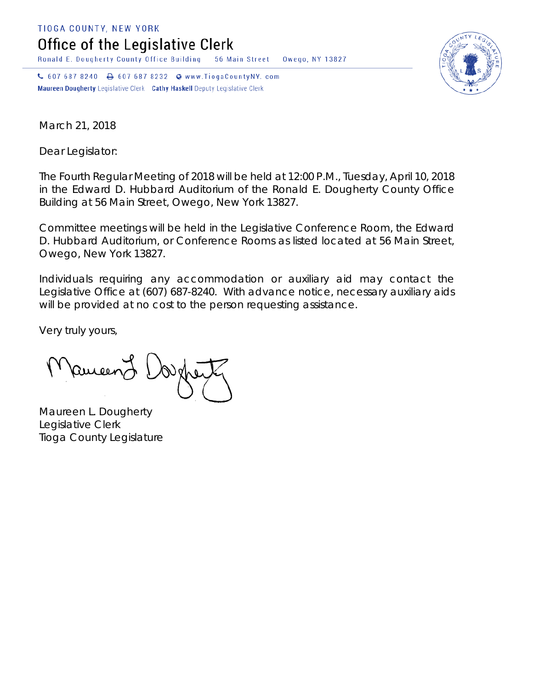TIOGA COUNTY, NEW YORK

Office of the Legislative Clerk

Ronald E. Dougherty County Office Building 56 Main Street Owego, NY 13827

↓ 607 687 8240 → 607 687 8232 → www.TiogaCountyNY.com Maureen Dougherty Legislative Clerk Cathy Haskell Deputy Legislative Clerk



March 21, 2018

Dear Legislator:

The Fourth Regular Meeting of 2018 will be held at 12:00 P.M., Tuesday, April 10, 2018 in the Edward D. Hubbard Auditorium of the Ronald E. Dougherty County Office Building at 56 Main Street, Owego, New York 13827.

Committee meetings will be held in the Legislative Conference Room, the Edward D. Hubbard Auditorium, or Conference Rooms as listed located at 56 Main Street, Owego, New York 13827.

Individuals requiring any accommodation or auxiliary aid may contact the Legislative Office at (607) 687-8240. With advance notice, necessary auxiliary aids will be provided at no cost to the person requesting assistance.

Very truly yours,

Remeend

Maureen L. Dougherty Legislative Clerk Tioga County Legislature